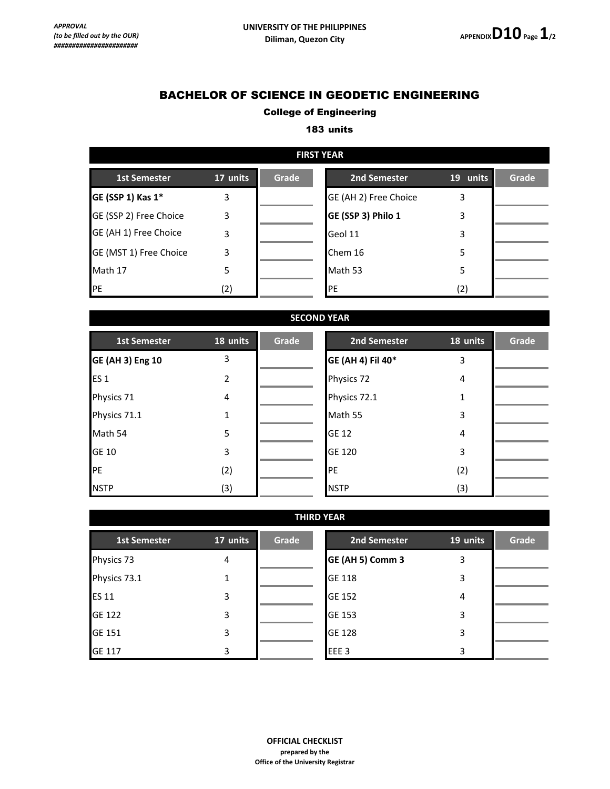# BACHELOR OF SCIENCE IN GEODETIC ENGINEERING

### College of Engineering

#### 183 units

| <b>FIRST YEAR</b>      |          |       |                       |          |       |  |
|------------------------|----------|-------|-----------------------|----------|-------|--|
| <b>1st Semester</b>    | 17 units | Grade | 2nd Semester          | 19 units | Grade |  |
| GE (SSP 1) Kas 1*      | 3        |       | GE (AH 2) Free Choice | 3        |       |  |
| GE (SSP 2) Free Choice | 3        |       | GE (SSP 3) Philo 1    | 3        |       |  |
| GE (AH 1) Free Choice  | 3        |       | Geol 11               | 3        |       |  |
| GE (MST 1) Free Choice | 3        |       | Chem 16               | 5        |       |  |
| Math 17                | 5        |       | Math 53               | 5        |       |  |
| PE                     | (2)      |       | PE                    | (2)      |       |  |

| <b>SECOND YEAR</b>      |          |       |                   |          |       |  |
|-------------------------|----------|-------|-------------------|----------|-------|--|
| <b>1st Semester</b>     | 18 units | Grade | 2nd Semester      | 18 units | Grade |  |
| <b>GE (AH 3) Eng 10</b> | 3        |       | GE (AH 4) Fil 40* | 3        |       |  |
| ES <sub>1</sub>         | 2        |       | Physics 72        | 4        |       |  |
| Physics 71              | 4        |       | Physics 72.1      | 1        |       |  |
| Physics 71.1            | 1        |       | Math 55           | 3        |       |  |
| Math 54                 | 5        |       | <b>GE 12</b>      | 4        |       |  |
| <b>GE 10</b>            | 3        |       | <b>GE 120</b>     | 3        |       |  |
| PE                      | (2)      |       | PE                | (2)      |       |  |
| <b>NSTP</b>             | (3)      |       | <b>NSTP</b>       | (3)      |       |  |

| <b>THIRD YEAR</b>   |          |       |                  |          |       |
|---------------------|----------|-------|------------------|----------|-------|
| <b>1st Semester</b> | 17 units | Grade | 2nd Semester     | 19 units | Grade |
| Physics 73          | 4        |       | GE (AH 5) Comm 3 | 3        |       |
| Physics 73.1        | 1        |       | <b>GE 118</b>    | 3        |       |
| <b>ES 11</b>        | 3        |       | GE 152           | 4        |       |
| GE 122              | 3        |       | GE 153           | 3        |       |
| GE 151              | 3        |       | <b>GE 128</b>    | 3        |       |
| <b>GE 117</b>       | 3        |       | EEE <sub>3</sub> | 3        |       |